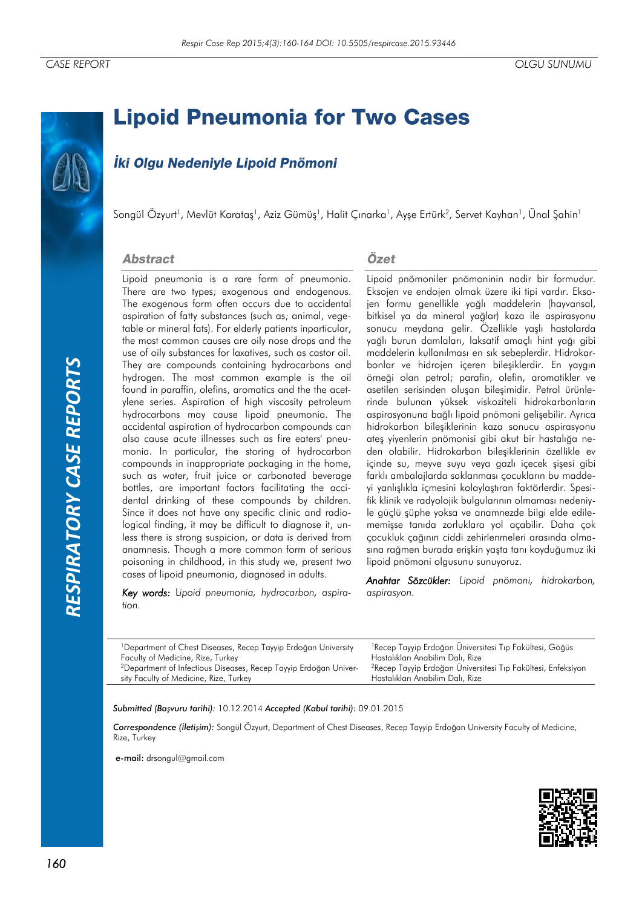# *RESPIRATORY CASE REPORTS*RESPIRATORY CASE REPORTS

# **Lipoid Pneumonia for Two Cases**

## **İki Olgu Nedeniyle Lipoid Pnömoni**

Songül Özyurt<sup>ı</sup>, Mevlüt Karataş<sup>ı</sup>, Aziz Gümüş<sup>ı</sup>, Halit Çınarka', Ayşe Ertürk<sup>2</sup>, Servet Kayhan', Ünal Şahin'

### **Abstract**

Lipoid pneumonia is a rare form of pneumonia. There are two types; exogenous and endogenous. The exogenous form often occurs due to accidental aspiration of fatty substances (such as; animal, vegetable or mineral fats). For elderly patients inparticular, the most common causes are oily nose drops and the use of oily substances for laxatives, such as castor oil. They are compounds containing hydrocarbons and hydrogen. The most common example is the oil found in paraffin, olefins, aromatics and the the acetylene series. Aspiration of high viscosity petroleum hydrocarbons may cause lipoid pneumonia. The accidental aspiration of hydrocarbon compounds can also cause acute illnesses such as fire eaters' pneumonia. In particular, the storing of hydrocarbon compounds in inappropriate packaging in the home, such as water, fruit juice or carbonated beverage bottles, are important factors facilitating the accidental drinking of these compounds by children. Since it does not have any specific clinic and radiological finding, it may be difficult to diagnose it, unless there is strong suspicion, or data is derived from anamnesis. Though a more common form of serious poisoning in childhood, in this study we, present two cases of lipoid pneumonia, diagnosed in adults.

*Key words:* L*ipoid pneumonia, hydrocarbon, aspiration.*

### Özet

Lipoid pnömoniler pnömoninin nadir bir formudur. Eksojen ve endojen olmak üzere iki tipi vardır. Eksojen formu genellikle yağlı maddelerin (hayvansal, bitkisel ya da mineral yağlar) kaza ile aspirasyonu sonucu meydana gelir. Özellikle yaşlı hastalarda yağlı burun damlaları, laksatif amaçlı hint yağı gibi maddelerin kullanılması en sık sebeplerdir. Hidrokarbonlar ve hidrojen içeren bileşiklerdir. En yaygın örneği olan petrol; parafin, olefin, aromatikler ve asetilen serisinden oluşan bileşimidir. Petrol ürünlerinde bulunan yüksek viskoziteli hidrokarbonların aspirasyonuna bağlı lipoid pnömoni gelişebilir. Ayrıca hidrokarbon bileşiklerinin kaza sonucu aspirasyonu ateş yiyenlerin pnömonisi gibi akut bir hastalığa neden olabilir. Hidrokarbon bileşiklerinin özellikle ev içinde su, meyve suyu veya gazlı içecek şişesi gibi farklı ambalajlarda saklanması çocukların bu maddeyi yanlışlıkla içmesini kolaylaştıran faktörlerdir. Spesifik klinik ve radyolojik bulgularının olmaması nedeniyle güçlü şüphe yoksa ve anamnezde bilgi elde edilememişse tanıda zorluklara yol açabilir. Daha çok çocukluk çağının ciddi zehirlenmeleri arasında olmasına rağmen burada erişkin yaşta tanı koyduğumuz iki lipoid pnömoni olgusunu sunuyoruz.

*Anahtar Sözcükler: Lipoid pnömoni, hidrokarbon, aspirasyon.* 

| <sup>1</sup> Department of Chest Diseases, Recep Tayyip Erdoğan University   | <sup>1</sup> Recep Tayyip Erdoğan Üniversitesi Tıp Fakültesi, Göğüs      |
|------------------------------------------------------------------------------|--------------------------------------------------------------------------|
| Faculty of Medicine, Rize, Turkey                                            | Hastalıkları Anabilim Dalı, Rize                                         |
| <sup>2</sup> Department of Infectious Diseases, Recep Tayyip Erdoğan Univer- | <sup>2</sup> Recep Tayyip Erdoğan Üniversitesi Tıp Fakültesi, Enfeksiyon |
| sity Faculty of Medicine, Rize, Turkey                                       | Hastalıkları Anabilim Dalı, Rize                                         |
|                                                                              |                                                                          |

*Submitted (Başvuru tarihi):* 10.12.2014 *Accepted (Kabul tarihi):* 09.01.2015

*Correspondence (İletişim):* Songül Özyurt, Department of Chest Diseases, Recep Tayyip Erdoğan University Faculty of Medicine, Rize, Turkey

e-mail: drsongul@gmail.com

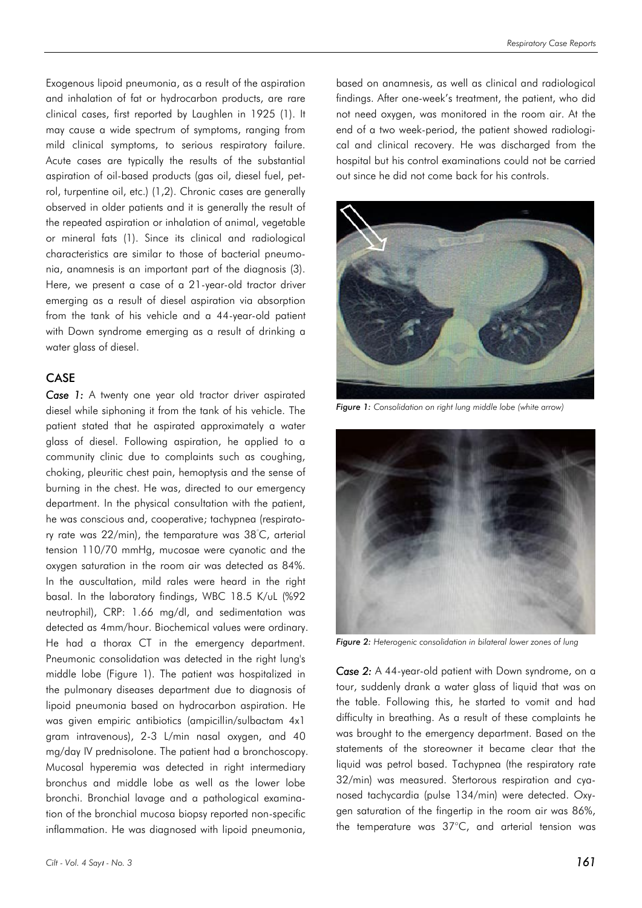Exogenous lipoid pneumonia, as a result of the aspiration and inhalation of fat or hydrocarbon products, are rare clinical cases, first reported by Laughlen in 1925 (1). It may cause a wide spectrum of symptoms, ranging from mild clinical symptoms, to serious respiratory failure. Acute cases are typically the results of the substantial aspiration of oil-based products (gas oil, diesel fuel, petrol, turpentine oil, etc.) (1,2). Chronic cases are generally observed in older patients and it is generally the result of the repeated aspiration or inhalation of animal, vegetable or mineral fats (1). Since its clinical and radiological characteristics are similar to those of bacterial pneumonia, anamnesis is an important part of the diagnosis (3). Here, we present a case of a 21-year-old tractor driver emerging as a result of diesel aspiration via absorption from the tank of his vehicle and a 44-year-old patient with Down syndrome emerging as a result of drinking a water glass of diesel.

### CASE

Case 1: A twenty one year old tractor driver aspirated diesel while siphoning it from the tank of his vehicle. The patient stated that he aspirated approximately a water glass of diesel. Following aspiration, he applied to a community clinic due to complaints such as coughing, choking, pleuritic chest pain, hemoptysis and the sense of burning in the chest. He was, directed to our emergency department. In the physical consultation with the patient, he was conscious and, cooperative; tachypnea (respiratory rate was 22/min), the temparature was 38°C, arterial tension 110/70 mmHg, mucosae were cyanotic and the oxygen saturation in the room air was detected as 84%. In the auscultation, mild rales were heard in the right basal. In the laboratory findings, WBC 18.5 K/uL (%92 neutrophil), CRP: 1.66 mg/dl, and sedimentation was detected as 4mm/hour. Biochemical values were ordinary. He had a thorax CT in the emergency department. Pneumonic consolidation was detected in the right lung's middle lobe (Figure 1). The patient was hospitalized in the pulmonary diseases department due to diagnosis of lipoid pneumonia based on hydrocarbon aspiration. He was given empiric antibiotics (ampicillin/sulbactam 4x1 gram intravenous), 2-3 L/min nasal oxygen, and 40 mg/day IV prednisolone. The patient had a bronchoscopy. Mucosal hyperemia was detected in right intermediary bronchus and middle lobe as well as the lower lobe bronchi. Bronchial lavage and a pathological examination of the bronchial mucosa biopsy reported non-specific inflammation. He was diagnosed with lipoid pneumonia,

based on anamnesis, as well as clinical and radiological findings. After one-week's treatment, the patient, who did not need oxygen, was monitored in the room air. At the end of a two week-period, the patient showed radiological and clinical recovery. He was discharged from the hospital but his control examinations could not be carried out since he did not come back for his controls.



*Figure 1: Consolidation on right lung middle lobe (white arrow)*



*Figure 2: Heterogenic consolidation in bilateral lower zones of lung*

*Case 2:* A 44-year-old patient with Down syndrome, on a tour, suddenly drank a water glass of liquid that was on the table. Following this, he started to vomit and had difficulty in breathing. As a result of these complaints he was brought to the emergency department. Based on the statements of the storeowner it became clear that the liquid was petrol based. Tachypnea (the respiratory rate 32/min) was measured. Stertorous respiration and cyanosed tachycardia (pulse 134/min) were detected. Oxygen saturation of the fingertip in the room air was 86%, the temperature was 37°C, and arterial tension was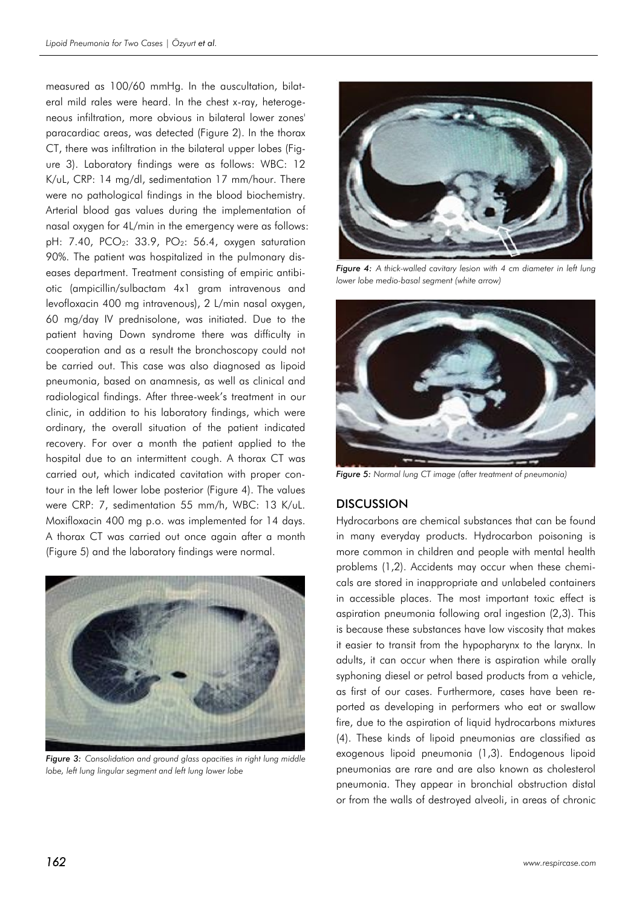measured as 100/60 mmHg. In the auscultation, bilateral mild rales were heard. In the chest x-ray, heterogeneous infiltration, more obvious in bilateral lower zones' paracardiac areas, was detected (Figure 2). In the thorax CT, there was infiltration in the bilateral upper lobes (Figure 3). Laboratory findings were as follows: WBC: 12 K/uL, CRP: 14 mg/dl, sedimentation 17 mm/hour. There were no pathological findings in the blood biochemistry. Arterial blood gas values during the implementation of nasal oxygen for 4L/min in the emergency were as follows: pH: 7.40, PCO<sub>2</sub>: 33.9, PO<sub>2</sub>: 56.4, oxygen saturation 90%. The patient was hospitalized in the pulmonary diseases department. Treatment consisting of empiric antibiotic (ampicillin/sulbactam 4x1 gram intravenous and levofloxacin 400 mg intravenous), 2 L/min nasal oxygen, 60 mg/day IV prednisolone, was initiated. Due to the patient having Down syndrome there was difficulty in cooperation and as a result the bronchoscopy could not be carried out. This case was also diagnosed as lipoid pneumonia, based on anamnesis, as well as clinical and radiological findings. After three-week's treatment in our clinic, in addition to his laboratory findings, which were ordinary, the overall situation of the patient indicated recovery. For over a month the patient applied to the hospital due to an intermittent cough. A thorax CT was carried out, which indicated cavitation with proper contour in the left lower lobe posterior (Figure 4). The values were CRP: 7, sedimentation 55 mm/h, WBC: 13 K/uL. Moxifloxacin 400 mg p.o. was implemented for 14 days. A thorax CT was carried out once again after a month (Figure 5) and the laboratory findings were normal.



*Figure 3: Consolidation and ground glass opacities in right lung middle lobe, left lung lingular segment and left lung lower lobe*



*Figure 4: A thick-walled cavitary lesion with 4 cm diameter in left lung lower lobe medio-basal segment (white arrow)*



*Figure 5: Normal lung CT image (after treatment of pneumonia)*

### **DISCUSSION**

Hydrocarbons are chemical substances that can be found in many everyday products. Hydrocarbon poisoning is more common in children and people with mental health problems (1,2). Accidents may occur when these chemicals are stored in inappropriate and unlabeled containers in accessible places. The most important toxic effect is aspiration pneumonia following oral ingestion (2,3). This is because these substances have low viscosity that makes it easier to transit from the hypopharynx to the larynx. In adults, it can occur when there is aspiration while orally syphoning diesel or petrol based products from a vehicle, as first of our cases. Furthermore, cases have been reported as developing in performers who eat or swallow fire, due to the aspiration of liquid hydrocarbons mixtures (4). These kinds of lipoid pneumonias are classified as exogenous lipoid pneumonia (1,3). Endogenous lipoid pneumonias are rare and are also known as cholesterol pneumonia. They appear in bronchial obstruction distal or from the walls of destroyed alveoli, in areas of chronic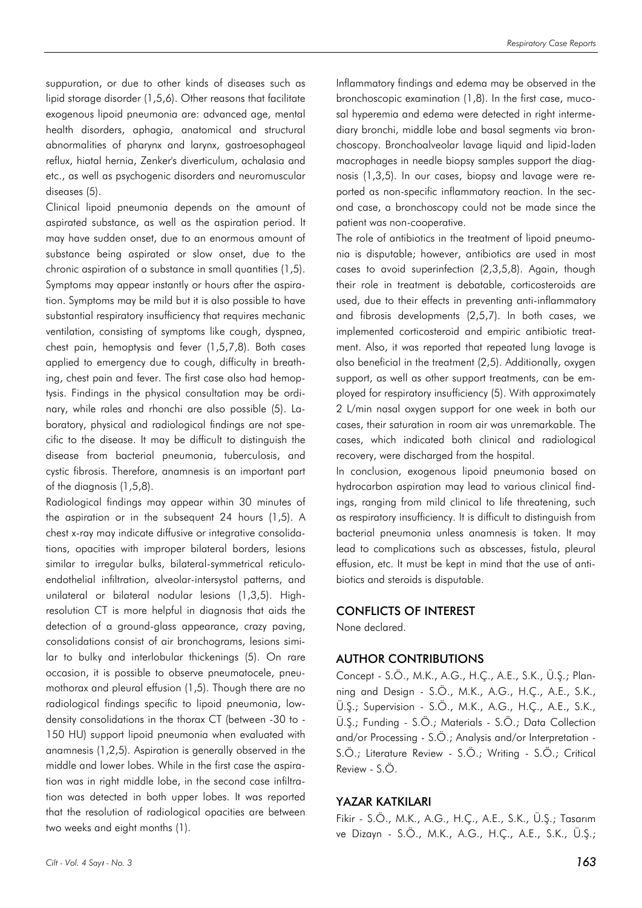suppuration, or due to other kinds of diseases such as lipid storage disorder (1,5,6). Other reasons that facilitate exogenous lipoid pneumonia are: advanced age, mental health disorders, aphagia, anatomical and structural abnormalities of pharynx and larynx, gastroesophageal reflux, hiatal hernia, Zenker's diverticulum, achalasia and etc., as well as psychogenic disorders and neuromuscular diseases (5).

Clinical lipoid pneumonia depends on the amount of aspirated substance, as well as the aspiration period. It may have sudden onset, due to an enormous amount of substance being aspirated or slow onset, due to the chronic aspiration of a substance in small quantities (1,5). Symptoms may appear instantly or hours after the aspiration. Symptoms may be mild but it is also possible to have substantial respiratory insufficiency that requires mechanic ventilation, consisting of symptoms like cough, dyspnea, chest pain, hemoptysis and fever (1,5,7,8). Both cases applied to emergency due to cough, difficulty in breathing, chest pain and fever. The first case also had hemoptysis. Findings in the physical consultation may be ordinary, while rales and rhonchi are also possible (5). Laboratory, physical and radiological findings are not specific to the disease. It may be difficult to distinguish the disease from bacterial pneumonia, tuberculosis, and cystic fibrosis. Therefore, anamnesis is an important part of the diagnosis (1,5,8).

Radiological findings may appear within 30 minutes of the aspiration or in the subsequent 24 hours (1,5). A chest x-ray may indicate diffusive or integrative consolidations, opacities with improper bilateral borders, lesions similar to irregular bulks, bilateral-symmetrical reticuloendothelial infiltration, alveolar-intersystol patterns, and unilateral or bilateral nodular lesions (1,3,5). Highresolution CT is more helpful in diagnosis that aids the detection of a ground-glass appearance, crazy paving, consolidations consist of air bronchograms, lesions similar to bulky and interlobular thickenings (5). On rare occasion, it is possible to observe pneumatocele, pneumothorax and pleural effusion (1,5). Though there are no radiological findings specific to lipoid pneumonia, lowdensity consolidations in the thorax CT (between -30 to - 150 HU) support lipoid pneumonia when evaluated with anamnesis (1,2,5). Aspiration is generally observed in the middle and lower lobes. While in the first case the aspiration was in right middle lobe, in the second case infiltration was detected in both upper lobes. It was reported that the resolution of radiological opacities are between two weeks and eight months (1).

Inflammatory findings and edema may be observed in the bronchoscopic examination (1,8). In the first case, mucosal hyperemia and edema were detected in right intermediary bronchi, middle lobe and basal segments via bronchoscopy. Bronchoalveolar lavage liquid and lipid-laden macrophages in needle biopsy samples support the diagnosis (1,3,5). In our cases, biopsy and lavage were reported as non-specific inflammatory reaction. In the second case, a bronchoscopy could not be made since the patient was non-cooperative.

The role of antibiotics in the treatment of lipoid pneumonia is disputable; however, antibiotics are used in most cases to avoid superinfection (2,3,5,8). Again, though their role in treatment is debatable, corticosteroids are used, due to their effects in preventing anti-inflammatory and fibrosis developments (2,5,7). In both cases, we implemented corticosteroid and empiric antibiotic treatment. Also, it was reported that repeated lung lavage is also beneficial in the treatment (2,5). Additionally, oxygen support, as well as other support treatments, can be employed for respiratory insufficiency (5). With approximately 2 L/min nasal oxygen support for one week in both our cases, their saturation in room air was unremarkable. The cases, which indicated both clinical and radiological recovery, were discharged from the hospital.

In conclusion, exogenous lipoid pneumonia based on hydrocarbon aspiration may lead to various clinical findings, ranging from mild clinical to life threatening, such as respiratory insufficiency. It is difficult to distinguish from bacterial pneumonia unless anamnesis is taken. It may lead to complications such as abscesses, fistula, pleural effusion, etc. It must be kept in mind that the use of antibiotics and steroids is disputable.

### CONFLICTS OF INTEREST

None declared.

### AUTHOR CONTRIBUTIONS

Concept - S.Ö., M.K., A.G., H.Ç., A.E., S.K., Ü.Ş.; Planning and Design - S.Ö., M.K., A.G., H.Ç., A.E., S.K., Ü.Ş.; Supervision - S.Ö., M.K., A.G., H.Ç., A.E., S.K., Ü.Ş.; Funding - S.Ö.; Materials - S.Ö.; Data Collection and/or Processing - S.Ö.; Analysis and/or Interpretation - S.Ö.; Literature Review - S.Ö.; Writing - S.Ö.; Critical Review - S.Ö.

### YAZAR KATKILARI

Fikir - S.Ö., M.K., A.G., H.Ç., A.E., S.K., Ü.Ş.; Tasarım ve Dizayn - S.Ö., M.K., A.G., H.Ç., A.E., S.K., Ü.Ş.;